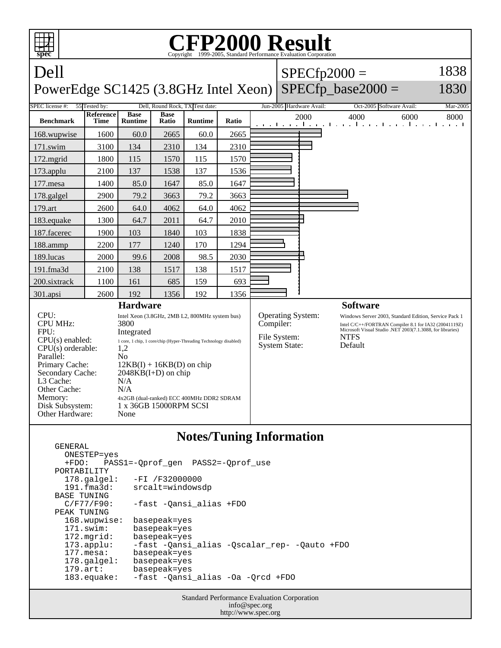

## **Notes/Tuning Information**

| ONESTEP=yes           |                                              |
|-----------------------|----------------------------------------------|
| $+FDO:$               | PASS1=-Oprof gen PASS2=-Oprof use            |
| PORTABILITY           |                                              |
| $178.\text{qalgel}$ : | $-FI / F32000000$                            |
| $191.f$ ma $3d:$      | srcalt=windowsdp                             |
| BASE TUNING           |                                              |
| C/F77/F90:            | -fast -Oansi alias +FDO                      |
| PEAK TUNING           |                                              |
| 168.wupwise:          | basepeak=yes                                 |
| $171$ .swim:          | basepeak=yes                                 |
| $172.\text{mgrid}:$   | basepeak=yes                                 |
| $173.\text{applu}:$   | -fast -Qansi alias -Qscalar rep- -Qauto +FDO |
| $177.\text{mesa}$ :   | basepeak=yes                                 |
| $178.\text{qalgel}$ : | basepeak=yes                                 |
| $179.\arct:$          | basepeak=yes                                 |
| $183$ .equake:        | -fast -Qansi alias -Oa -Qrcd +FDO            |
|                       |                                              |

GENERAL

Standard Performance Evaluation Corporation info@spec.org http://www.spec.org